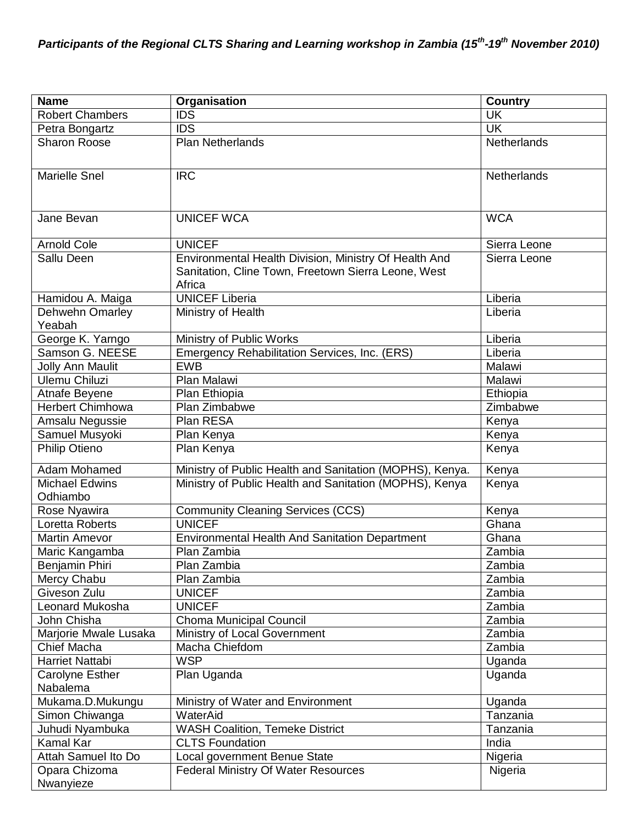| <b>Name</b>                       | <b>Organisation</b>                                      | <b>Country</b>           |
|-----------------------------------|----------------------------------------------------------|--------------------------|
| <b>Robert Chambers</b>            | $\overline{IDS}$                                         | $\overline{\mathsf{UK}}$ |
| Petra Bongartz                    | <b>IDS</b>                                               | <b>UK</b>                |
| <b>Sharon Roose</b>               | <b>Plan Netherlands</b>                                  | Netherlands              |
|                                   |                                                          |                          |
| <b>Marielle Snel</b>              | <b>IRC</b>                                               | Netherlands              |
|                                   |                                                          |                          |
|                                   |                                                          |                          |
| Jane Bevan                        | <b>UNICEF WCA</b>                                        | <b>WCA</b>               |
|                                   |                                                          |                          |
| <b>Arnold Cole</b>                | <b>UNICEF</b>                                            | Sierra Leone             |
| Sallu Deen                        | Environmental Health Division, Ministry Of Health And    | Sierra Leone             |
|                                   | Sanitation, Cline Town, Freetown Sierra Leone, West      |                          |
|                                   | Africa                                                   |                          |
| Hamidou A. Maiga                  | <b>UNICEF Liberia</b>                                    | Liberia                  |
| Dehwehn Omarley<br>Yeabah         | Ministry of Health                                       | Liberia                  |
| George K. Yarngo                  | Ministry of Public Works                                 | Liberia                  |
| Samson G. NEESE                   | Emergency Rehabilitation Services, Inc. (ERS)            | Liberia                  |
| <b>Jolly Ann Maulit</b>           | <b>EWB</b>                                               | Malawi                   |
| <b>Ulemu Chiluzi</b>              | Plan Malawi                                              | Malawi                   |
| Atnafe Beyene                     | Plan Ethiopia                                            | Ethiopia                 |
| <b>Herbert Chimhowa</b>           | Plan Zimbabwe                                            | Zimbabwe                 |
| Amsalu Negussie                   | Plan RESA                                                | Kenya                    |
| Samuel Musyoki                    | Plan Kenya                                               | Kenya                    |
| <b>Philip Otieno</b>              | Plan Kenya                                               | Kenya                    |
|                                   |                                                          |                          |
| Adam Mohamed                      | Ministry of Public Health and Sanitation (MOPHS), Kenya. | Kenya                    |
| <b>Michael Edwins</b><br>Odhiambo | Ministry of Public Health and Sanitation (MOPHS), Kenya  | Kenya                    |
| Rose Nyawira                      | <b>Community Cleaning Services (CCS)</b>                 | Kenya                    |
| Loretta Roberts                   | <b>UNICEF</b>                                            | Ghana                    |
| <b>Martin Amevor</b>              | <b>Environmental Health And Sanitation Department</b>    | Ghana                    |
| Maric Kangamba                    | Plan Zambia                                              | Zambia                   |
| Benjamin Phiri                    | Plan Zambia                                              | Zambia                   |
| Mercy Chabu                       | Plan Zambia                                              | Zambia                   |
| Giveson Zulu                      | <b>UNICEF</b>                                            | Zambia                   |
| Leonard Mukosha                   | <b>UNICEF</b>                                            | Zambia                   |
| John Chisha                       | <b>Choma Municipal Council</b>                           | Zambia                   |
| Marjorie Mwale Lusaka             | Ministry of Local Government                             | Zambia                   |
| <b>Chief Macha</b>                | Macha Chiefdom                                           | Zambia                   |
| Harriet Nattabi                   | <b>WSP</b>                                               | Uganda                   |
| Carolyne Esther                   | Plan Uganda                                              | Uganda                   |
| Nabalema                          |                                                          |                          |
| Mukama.D.Mukungu                  | Ministry of Water and Environment                        | Uganda                   |
| Simon Chiwanga                    | WaterAid                                                 | Tanzania                 |
| Juhudi Nyambuka                   | <b>WASH Coalition, Temeke District</b>                   | Tanzania                 |
| Kamal Kar                         | <b>CLTS Foundation</b>                                   | India                    |
| Attah Samuel Ito Do               | Local government Benue State                             | Nigeria                  |
| Opara Chizoma                     | <b>Federal Ministry Of Water Resources</b>               | Nigeria                  |
| Nwanyieze                         |                                                          |                          |